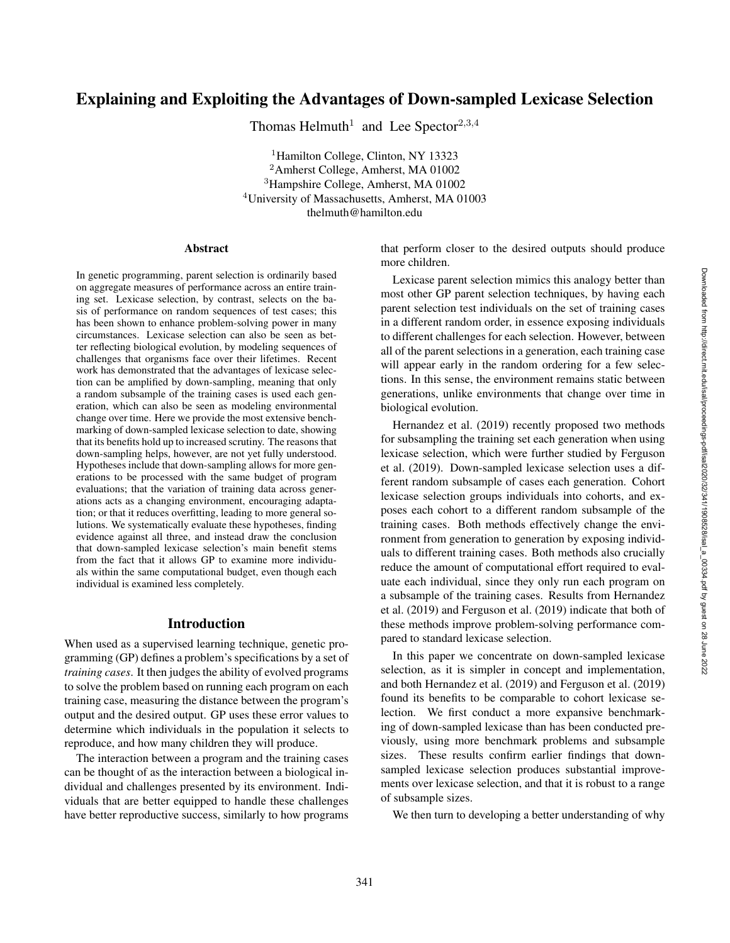# Explaining and Exploiting the Advantages of Down-sampled Lexicase Selection

Thomas Helmuth<sup>1</sup> and Lee Spector<sup>2,3,4</sup>

<sup>1</sup>Hamilton College, Clinton, NY 13323 <sup>2</sup>Amherst College, Amherst, MA 01002 <sup>3</sup>Hampshire College, Amherst, MA 01002 <sup>4</sup>University of Massachusetts, Amherst, MA 01003 thelmuth@hamilton.edu

#### Abstract

In genetic programming, parent selection is ordinarily based on aggregate measures of performance across an entire training set. Lexicase selection, by contrast, selects on the basis of performance on random sequences of test cases; this has been shown to enhance problem-solving power in many circumstances. Lexicase selection can also be seen as better reflecting biological evolution, by modeling sequences of challenges that organisms face over their lifetimes. Recent work has demonstrated that the advantages of lexicase selection can be amplified by down-sampling, meaning that only a random subsample of the training cases is used each generation, which can also be seen as modeling environmental change over time. Here we provide the most extensive benchmarking of down-sampled lexicase selection to date, showing that its benefits hold up to increased scrutiny. The reasons that down-sampling helps, however, are not yet fully understood. Hypotheses include that down-sampling allows for more generations to be processed with the same budget of program evaluations; that the variation of training data across generations acts as a changing environment, encouraging adaptation; or that it reduces overfitting, leading to more general solutions. We systematically evaluate these hypotheses, finding evidence against all three, and instead draw the conclusion that down-sampled lexicase selection's main benefit stems from the fact that it allows GP to examine more individuals within the same computational budget, even though each individual is examined less completely.

#### Introduction

When used as a supervised learning technique, genetic programming (GP) defines a problem's specifications by a set of *training cases*. It then judges the ability of evolved programs to solve the problem based on running each program on each training case, measuring the distance between the program's output and the desired output. GP uses these error values to determine which individuals in the population it selects to reproduce, and how many children they will produce.

The interaction between a program and the training cases can be thought of as the interaction between a biological individual and challenges presented by its environment. Individuals that are better equipped to handle these challenges have better reproductive success, similarly to how programs that perform closer to the desired outputs should produce more children.

Lexicase parent selection mimics this analogy better than most other GP parent selection techniques, by having each parent selection test individuals on the set of training cases in a different random order, in essence exposing individuals to different challenges for each selection. However, between all of the parent selections in a generation, each training case will appear early in the random ordering for a few selections. In this sense, the environment remains static between generations, unlike environments that change over time in biological evolution.

Hernandez et al. (2019) recently proposed two methods for subsampling the training set each generation when using lexicase selection, which were further studied by Ferguson et al. (2019). Down-sampled lexicase selection uses a different random subsample of cases each generation. Cohort lexicase selection groups individuals into cohorts, and exposes each cohort to a different random subsample of the training cases. Both methods effectively change the environment from generation to generation by exposing individuals to different training cases. Both methods also crucially reduce the amount of computational effort required to evaluate each individual, since they only run each program on a subsample of the training cases. Results from Hernandez et al. (2019) and Ferguson et al. (2019) indicate that both of these methods improve problem-solving performance compared to standard lexicase selection.

In this paper we concentrate on down-sampled lexicase selection, as it is simpler in concept and implementation, and both Hernandez et al. (2019) and Ferguson et al. (2019) found its benefits to be comparable to cohort lexicase selection. We first conduct a more expansive benchmarking of down-sampled lexicase than has been conducted previously, using more benchmark problems and subsample sizes. These results confirm earlier findings that downsampled lexicase selection produces substantial improvements over lexicase selection, and that it is robust to a range of subsample sizes.

We then turn to developing a better understanding of why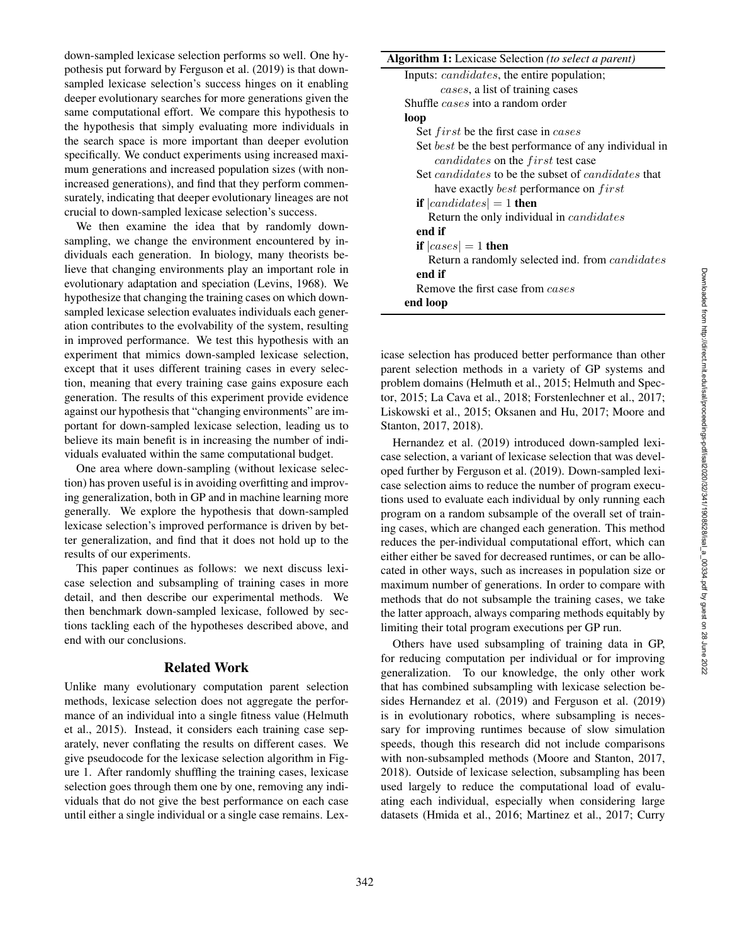down-sampled lexicase selection performs so well. One hypothesis put forward by Ferguson et al. (2019) is that downsampled lexicase selection's success hinges on it enabling deeper evolutionary searches for more generations given the same computational effort. We compare this hypothesis to the hypothesis that simply evaluating more individuals in the search space is more important than deeper evolution specifically. We conduct experiments using increased maximum generations and increased population sizes (with nonincreased generations), and find that they perform commensurately, indicating that deeper evolutionary lineages are not crucial to down-sampled lexicase selection's success.

We then examine the idea that by randomly downsampling, we change the environment encountered by individuals each generation. In biology, many theorists believe that changing environments play an important role in evolutionary adaptation and speciation (Levins, 1968). We hypothesize that changing the training cases on which downsampled lexicase selection evaluates individuals each generation contributes to the evolvability of the system, resulting in improved performance. We test this hypothesis with an experiment that mimics down-sampled lexicase selection, except that it uses different training cases in every selection, meaning that every training case gains exposure each generation. The results of this experiment provide evidence against our hypothesis that "changing environments" are important for down-sampled lexicase selection, leading us to believe its main benefit is in increasing the number of individuals evaluated within the same computational budget.

One area where down-sampling (without lexicase selection) has proven useful is in avoiding overfitting and improving generalization, both in GP and in machine learning more generally. We explore the hypothesis that down-sampled lexicase selection's improved performance is driven by better generalization, and find that it does not hold up to the results of our experiments.

This paper continues as follows: we next discuss lexicase selection and subsampling of training cases in more detail, and then describe our experimental methods. We then benchmark down-sampled lexicase, followed by sections tackling each of the hypotheses described above, and end with our conclusions.

## Related Work

Unlike many evolutionary computation parent selection methods, lexicase selection does not aggregate the performance of an individual into a single fitness value (Helmuth et al., 2015). Instead, it considers each training case separately, never conflating the results on different cases. We give pseudocode for the lexicase selection algorithm in Figure 1. After randomly shuffling the training cases, lexicase selection goes through them one by one, removing any individuals that do not give the best performance on each case until either a single individual or a single case remains. Lex-

| <b>Algorithm 1:</b> Lexicase Selection (to select a parent)      |  |  |  |  |
|------------------------------------------------------------------|--|--|--|--|
| Inputs: <i>candidates</i> , the entire population;               |  |  |  |  |
| cases, a list of training cases                                  |  |  |  |  |
| Shuffle <i>cases</i> into a random order                         |  |  |  |  |
| loop                                                             |  |  |  |  |
| Set <i>first</i> be the first case in <i>cases</i>               |  |  |  |  |
| Set best be the best performance of any individual in            |  |  |  |  |
| <i>candidates</i> on the <i>first</i> test case                  |  |  |  |  |
| Set <i>candidates</i> to be the subset of <i>candidates</i> that |  |  |  |  |
| have exactly <i>best</i> performance on <i>first</i>             |  |  |  |  |
| <b>if</b> $ candidates  = 1$ then                                |  |  |  |  |
| Return the only individual in <i>candidates</i>                  |  |  |  |  |
| end if                                                           |  |  |  |  |
| if $ cases  = 1$ then                                            |  |  |  |  |
| Return a randomly selected ind. from <i>candidates</i>           |  |  |  |  |
| end if                                                           |  |  |  |  |
| Remove the first case from <i>cases</i>                          |  |  |  |  |
| end loop                                                         |  |  |  |  |

icase selection has produced better performance than other parent selection methods in a variety of GP systems and problem domains (Helmuth et al., 2015; Helmuth and Spector, 2015; La Cava et al., 2018; Forstenlechner et al., 2017; Liskowski et al., 2015; Oksanen and Hu, 2017; Moore and Stanton, 2017, 2018).

Hernandez et al. (2019) introduced down-sampled lexicase selection, a variant of lexicase selection that was developed further by Ferguson et al. (2019). Down-sampled lexicase selection aims to reduce the number of program executions used to evaluate each individual by only running each program on a random subsample of the overall set of training cases, which are changed each generation. This method reduces the per-individual computational effort, which can either either be saved for decreased runtimes, or can be allocated in other ways, such as increases in population size or maximum number of generations. In order to compare with methods that do not subsample the training cases, we take the latter approach, always comparing methods equitably by limiting their total program executions per GP run.

Others have used subsampling of training data in GP, for reducing computation per individual or for improving generalization. To our knowledge, the only other work that has combined subsampling with lexicase selection besides Hernandez et al. (2019) and Ferguson et al. (2019) is in evolutionary robotics, where subsampling is necessary for improving runtimes because of slow simulation speeds, though this research did not include comparisons with non-subsampled methods (Moore and Stanton, 2017, 2018). Outside of lexicase selection, subsampling has been used largely to reduce the computational load of evaluating each individual, especially when considering large datasets (Hmida et al., 2016; Martinez et al., 2017; Curry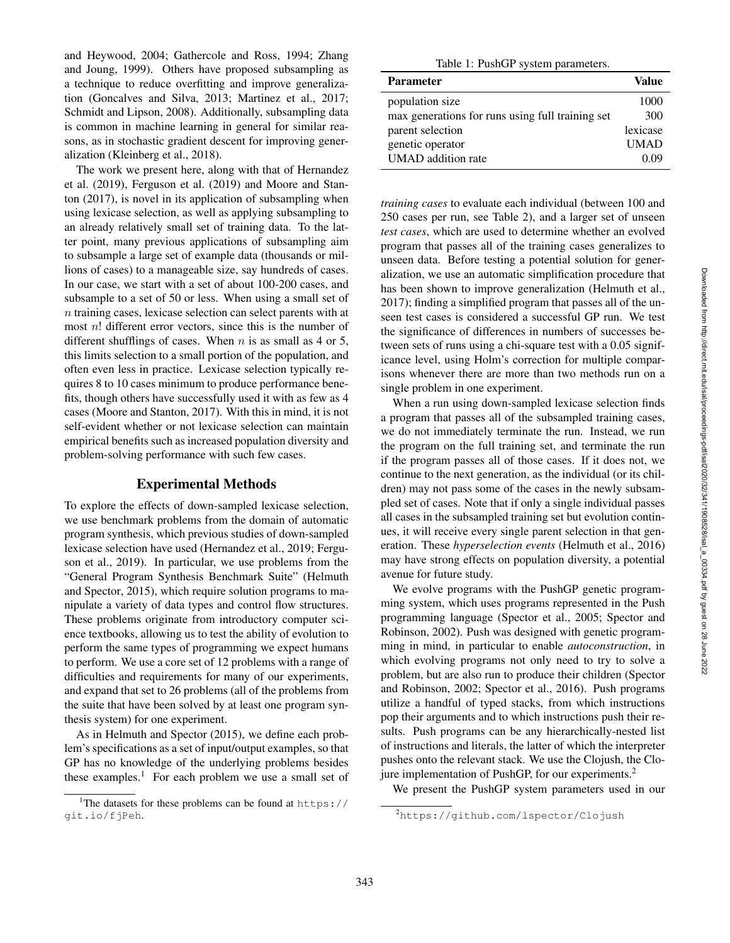and Heywood, 2004; Gathercole and Ross, 1994; Zhang and Joung, 1999). Others have proposed subsampling as a technique to reduce overfitting and improve generalization (Goncalves and Silva, 2013; Martinez et al., 2017; Schmidt and Lipson, 2008). Additionally, subsampling data is common in machine learning in general for similar reasons, as in stochastic gradient descent for improving generalization (Kleinberg et al., 2018).

The work we present here, along with that of Hernandez et al. (2019), Ferguson et al. (2019) and Moore and Stanton (2017), is novel in its application of subsampling when using lexicase selection, as well as applying subsampling to an already relatively small set of training data. To the latter point, many previous applications of subsampling aim to subsample a large set of example data (thousands or millions of cases) to a manageable size, say hundreds of cases. In our case, we start with a set of about 100-200 cases, and subsample to a set of 50 or less. When using a small set of n training cases, lexicase selection can select parents with at most  $n!$  different error vectors, since this is the number of different shufflings of cases. When  $n$  is as small as 4 or 5, this limits selection to a small portion of the population, and often even less in practice. Lexicase selection typically requires 8 to 10 cases minimum to produce performance benefits, though others have successfully used it with as few as 4 cases (Moore and Stanton, 2017). With this in mind, it is not self-evident whether or not lexicase selection can maintain empirical benefits such as increased population diversity and problem-solving performance with such few cases.

#### Experimental Methods

To explore the effects of down-sampled lexicase selection, we use benchmark problems from the domain of automatic program synthesis, which previous studies of down-sampled lexicase selection have used (Hernandez et al., 2019; Ferguson et al., 2019). In particular, we use problems from the "General Program Synthesis Benchmark Suite" (Helmuth and Spector, 2015), which require solution programs to manipulate a variety of data types and control flow structures. These problems originate from introductory computer science textbooks, allowing us to test the ability of evolution to perform the same types of programming we expect humans to perform. We use a core set of 12 problems with a range of difficulties and requirements for many of our experiments, and expand that set to 26 problems (all of the problems from the suite that have been solved by at least one program synthesis system) for one experiment.

As in Helmuth and Spector (2015), we define each problem's specifications as a set of input/output examples, so that GP has no knowledge of the underlying problems besides these examples. <sup>1</sup> For each problem we use a small set of

Table 1: PushGP system parameters.

| <b>Parameter</b>                                 | Value       |
|--------------------------------------------------|-------------|
| population size                                  | 1000        |
| max generations for runs using full training set | 300         |
| parent selection                                 | lexicase    |
| genetic operator                                 | <b>UMAD</b> |
| <b>UMAD</b> addition rate                        | 0.09        |

*training cases* to evaluate each individual (between 100 and 250 cases per run, see Table 2), and a larger set of unseen *test cases*, which are used to determine whether an evolved program that passes all of the training cases generalizes to unseen data. Before testing a potential solution for generalization, we use an automatic simplification procedure that has been shown to improve generalization (Helmuth et al., 2017); finding a simplified program that passes all of the unseen test cases is considered a successful GP run. We test the significance of differences in numbers of successes between sets of runs using a chi-square test with a 0.05 significance level, using Holm's correction for multiple comparisons whenever there are more than two methods run on a single problem in one experiment.

When a run using down-sampled lexicase selection finds a program that passes all of the subsampled training cases, we do not immediately terminate the run. Instead, we run the program on the full training set, and terminate the run if the program passes all of those cases. If it does not, we continue to the next generation, as the individual (or its children) may not pass some of the cases in the newly subsampled set of cases. Note that if only a single individual passes all cases in the subsampled training set but evolution continues, it will receive every single parent selection in that generation. These *hyperselection events* (Helmuth et al., 2016) may have strong effects on population diversity, a potential avenue for future study.

We evolve programs with the PushGP genetic programming system, which uses programs represented in the Push programming language (Spector et al., 2005; Spector and Robinson, 2002). Push was designed with genetic programming in mind, in particular to enable *autoconstruction*, in which evolving programs not only need to try to solve a problem, but are also run to produce their children (Spector and Robinson, 2002; Spector et al., 2016). Push programs utilize a handful of typed stacks, from which instructions pop their arguments and to which instructions push their results. Push programs can be any hierarchically-nested list of instructions and literals, the latter of which the interpreter pushes onto the relevant stack. We use the Clojush, the Clojure implementation of PushGP, for our experiments.<sup>2</sup>

We present the PushGP system parameters used in our

<sup>&</sup>lt;sup>1</sup>The datasets for these problems can be found at  $https://$ git.io/fjPeh .

<sup>2</sup>https://github.com/lspector/Clojush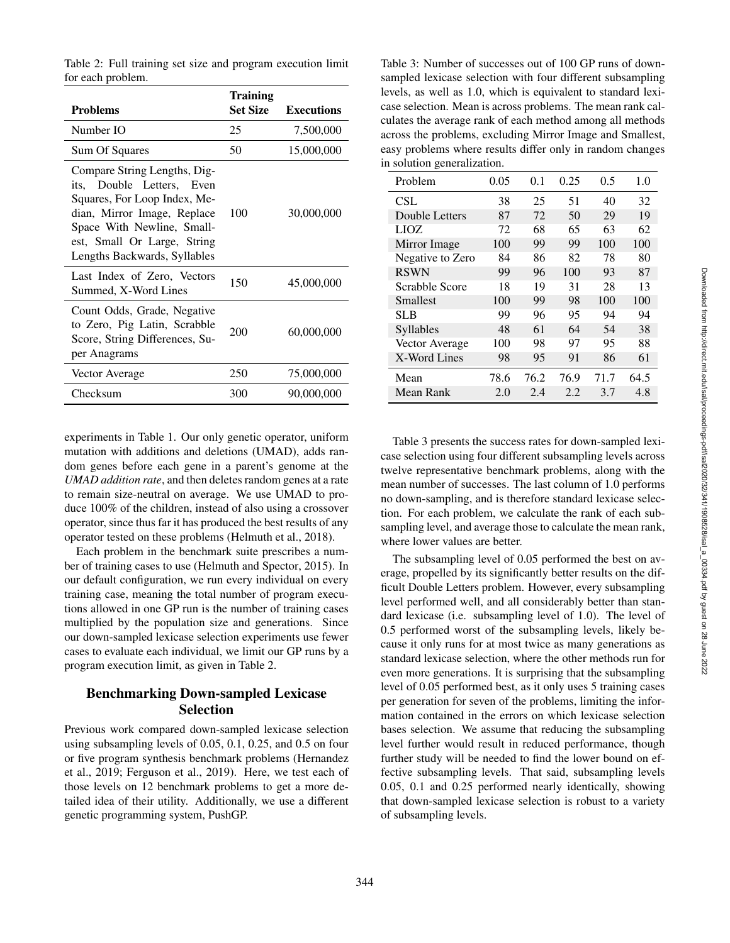Table 2: Full training set size and program execution limit for each problem.

| Problems                                                                                                                                                                                                              | <b>Training</b><br><b>Set Size</b> | <b>Executions</b> |
|-----------------------------------------------------------------------------------------------------------------------------------------------------------------------------------------------------------------------|------------------------------------|-------------------|
| Number IO                                                                                                                                                                                                             | 25                                 | 7,500,000         |
| Sum Of Squares                                                                                                                                                                                                        | 50                                 | 15,000,000        |
| Compare String Lengths, Dig-<br>its, Double Letters, Even<br>Squares, For Loop Index, Me-<br>dian, Mirror Image, Replace<br>Space With Newline, Small-<br>est, Small Or Large, String<br>Lengths Backwards, Syllables | 100                                | 30,000,000        |
| Last Index of Zero, Vectors<br>Summed, X-Word Lines                                                                                                                                                                   | 150                                | 45,000,000        |
| Count Odds, Grade, Negative<br>to Zero, Pig Latin, Scrabble<br>Score, String Differences, Su-<br>per Anagrams                                                                                                         | 200                                | 60,000,000        |
| Vector Average                                                                                                                                                                                                        | 250                                | 75,000,000        |
| Checksum                                                                                                                                                                                                              | 300                                | 90,000,000        |

experiments in Table 1. Our only genetic operator, uniform mutation with additions and deletions (UMAD), adds random genes before each gene in a parent's genome at the *UMAD addition rate*, and then deletes random genes at a rate to remain size-neutral on average. We use UMAD to produce 100% of the children, instead of also using a crossover operator, since thus far it has produced the best results of any operator tested on these problems (Helmuth et al., 2018).

Each problem in the benchmark suite prescribes a number of training cases to use (Helmuth and Spector, 2015). In our default configuration, we run every individual on every training case, meaning the total number of program executions allowed in one GP run is the number of training cases multiplied by the population size and generations. Since our down-sampled lexicase selection experiments use fewer cases to evaluate each individual, we limit our GP runs by a program execution limit, as given in Table 2.

## Benchmarking Down-sampled Lexicase Selection

Previous work compared down-sampled lexicase selection using subsampling levels of 0.05, 0.1, 0.25, and 0.5 on four or five program synthesis benchmark problems (Hernandez et al., 2019; Ferguson et al., 2019). Here, we test each of those levels on 12 benchmark problems to get a more detailed idea of their utility. Additionally, we use a different genetic programming system, PushGP.

Table 3: Number of successes out of 100 GP runs of downsampled lexicase selection with four different subsampling levels, as well as 1.0, which is equivalent to standard lexicase selection. Mean is across problems. The mean rank calculates the average rank of each method among all methods across the problems, excluding Mirror Image and Smallest, easy problems where results differ only in random changes in solution generalization.

| Problem          | 0.05 | 0.1  | 0.25 | 0.5  | 1.0  |
|------------------|------|------|------|------|------|
| CSL              | 38   | 25   | 51   | 40   | 32   |
| Double Letters   | 87   | 72   | 50   | 29   | 19   |
| LIOZ.            | 72   | 68   | 65   | 63   | 62   |
| Mirror Image     | 100  | 99   | 99   | 100  | 100  |
| Negative to Zero | 84   | 86   | 82   | 78   | 80   |
| <b>RSWN</b>      | 99   | 96   | 100  | 93   | 87   |
| Scrabble Score   | 18   | 19   | 31   | 28   | 13   |
| Smallest         | 100  | 99   | 98   | 100  | 100  |
| SLB              | 99   | 96   | 95   | 94   | 94   |
| <b>Syllables</b> | 48   | 61   | 64   | 54   | 38   |
| Vector Average   | 100  | 98   | 97   | 95   | 88   |
| X-Word Lines     | 98   | 95   | 91   | 86   | 61   |
| Mean             | 78.6 | 76.2 | 76.9 | 71.7 | 64.5 |
| Mean Rank        | 2.0  | 2.4  | 2.2  | 3.7  | 4.8  |

Table 3 presents the success rates for down-sampled lexicase selection using four different subsampling levels across twelve representative benchmark problems, along with the mean number of successes. The last column of 1.0 performs no down-sampling, and is therefore standard lexicase selection. For each problem, we calculate the rank of each subsampling level, and average those to calculate the mean rank, where lower values are better.

The subsampling level of 0.05 performed the best on average, propelled by its significantly better results on the difficult Double Letters problem. However, every subsampling level performed well, and all considerably better than standard lexicase (i.e. subsampling level of 1.0). The level of 0.5 performed worst of the subsampling levels, likely because it only runs for at most twice as many generations as standard lexicase selection, where the other methods run for even more generations. It is surprising that the subsampling level of 0.05 performed best, as it only uses 5 training cases per generation for seven of the problems, limiting the information contained in the errors on which lexicase selection bases selection. We assume that reducing the subsampling level further would result in reduced performance, though further study will be needed to find the lower bound on effective subsampling levels. That said, subsampling levels 0.05, 0.1 and 0.25 performed nearly identically, showing that down-sampled lexicase selection is robust to a variety of subsampling levels.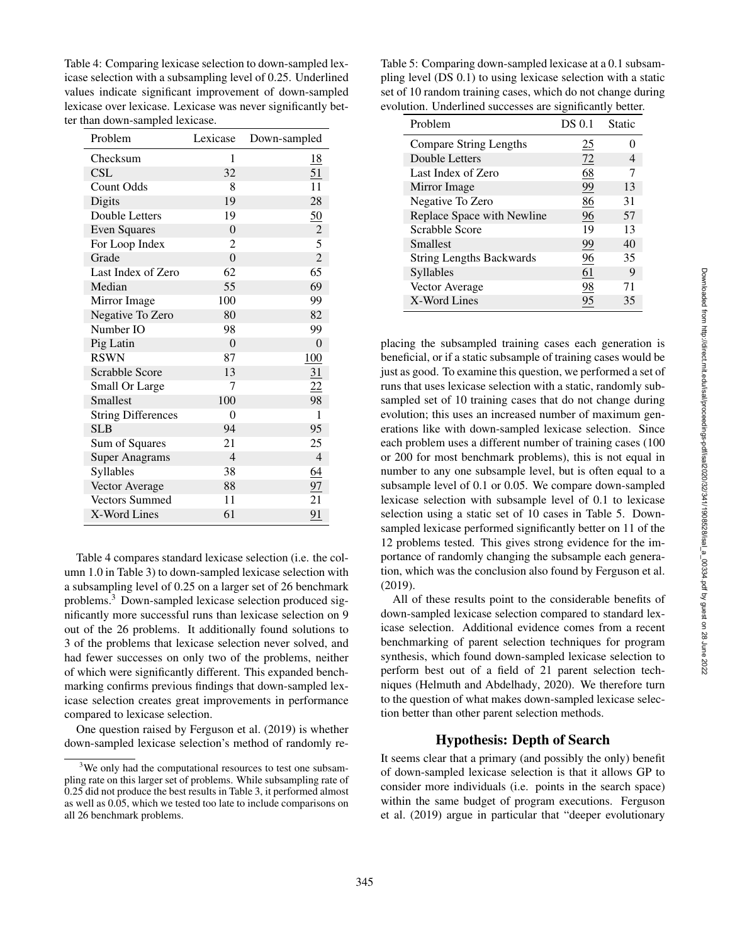Table 4: Comparing lexicase selection to down-sampled lexicase selection with a subsampling level of 0.25. Underlined values indicate significant improvement of down-sampled lexicase over lexicase. Lexicase was never significantly better than down-sampled lexicase.

| Problem                   | Lexicase       | Down-sampled    |
|---------------------------|----------------|-----------------|
| Checksum                  | 1              | 18              |
| <b>CSL</b>                | 32             | 51              |
| <b>Count Odds</b>         | 8              | 11              |
| Digits                    | 19             | 28              |
| Double Letters            | 19             | 50              |
| <b>Even Squares</b>       | $\overline{0}$ | $\overline{c}$  |
| For Loop Index            | 2              | 5               |
| Grade                     | $\overline{0}$ | $\overline{c}$  |
| Last Index of Zero        | 62             | 65              |
| Median                    | 55             | 69              |
| Mirror Image              | 100            | 99              |
| Negative To Zero          | 80             | 82              |
| Number IO                 | 98             | 99              |
| Pig Latin                 | $\Omega$       | 0               |
| <b>RSWN</b>               | 87             | 100             |
| Scrabble Score            | 13             | $\overline{31}$ |
| Small Or Large            | 7              | $\overline{22}$ |
| Smallest                  | 100            | 98              |
| <b>String Differences</b> | 0              | 1               |
| <b>SLB</b>                | 94             | 95              |
| Sum of Squares            | 21             | 25              |
| <b>Super Anagrams</b>     | $\overline{4}$ | $\overline{4}$  |
| Syllables                 | 38             | 64              |
| Vector Average            | 88             | $\frac{97}{1}$  |
| <b>Vectors Summed</b>     | 11             | 21              |
| X-Word Lines              | 61             | 91              |

Table 4 compares standard lexicase selection (i.e. the column 1.0 in Table 3) to down-sampled lexicase selection with a subsampling level of 0.25 on a larger set of 26 benchmark problems. <sup>3</sup> Down-sampled lexicase selection produced significantly more successful runs than lexicase selection on 9 out of the 26 problems. It additionally found solutions to 3 of the problems that lexicase selection never solved, and had fewer successes on only two of the problems, neither of which were significantly different. This expanded benchmarking confirms previous findings that down-sampled lexicase selection creates great improvements in performance compared to lexicase selection.

One question raised by Ferguson et al. (2019) is whether down-sampled lexicase selection's method of randomly re-

Table 5: Comparing down-sampled lexicase at a 0.1 subsampling level (DS 0.1) to using lexicase selection with a static set of 10 random training cases, which do not change during evolution. Underlined successes are significantly better.

| Problem                         | DS 0.1 | Static |
|---------------------------------|--------|--------|
| <b>Compare String Lengths</b>   | 25     |        |
| Double Letters                  | 72     |        |
| Last Index of Zero              | 68     |        |
| Mirror Image                    | 99     | 13     |
| Negative To Zero                | 86     | 31     |
| Replace Space with Newline      | 96     | 57     |
| Scrabble Score                  | 19     | 13     |
| Smallest                        | 99     | 40     |
| <b>String Lengths Backwards</b> | 96     | 35     |
| Syllables                       | 61     | 9      |
| Vector Average                  | 98     | 71     |
| X-Word Lines                    | 95     | 35     |

placing the subsampled training cases each generation is beneficial, or if a static subsample of training cases would be just as good. To examine this question, we performed a set of runs that uses lexicase selection with a static, randomly subsampled set of 10 training cases that do not change during evolution; this uses an increased number of maximum generations like with down-sampled lexicase selection. Since each problem uses a different number of training cases (100 or 200 for most benchmark problems), this is not equal in number to any one subsample level, but is often equal to a subsample level of 0.1 or 0.05. We compare down-sampled lexicase selection with subsample level of 0.1 to lexicase selection using a static set of 10 cases in Table 5. Downsampled lexicase performed significantly better on 11 of the 12 problems tested. This gives strong evidence for the importance of randomly changing the subsample each generation, which was the conclusion also found by Ferguson et al. (2019).

All of these results point to the considerable benefits of down-sampled lexicase selection compared to standard lexicase selection. Additional evidence comes from a recent benchmarking of parent selection techniques for program synthesis, which found down-sampled lexicase selection to perform best out of a field of 21 parent selection techniques (Helmuth and Abdelhady, 2020). We therefore turn to the question of what makes down-sampled lexicase selection better than other parent selection methods.

### Hypothesis: Depth of Search

It seems clear that a primary (and possibly the only) benefit of down-sampled lexicase selection is that it allows GP to consider more individuals (i.e. points in the search space) within the same budget of program executions. Ferguson et al. (2019) argue in particular that "deeper evolutionary

<sup>&</sup>lt;sup>3</sup>We only had the computational resources to test one subsampling rate on this larger set of problems. While subsampling rate of 0.25 did not produce the best results in Table 3, it performed almost as well as 0.05, which we tested too late to include comparisons on all 26 benchmark problems.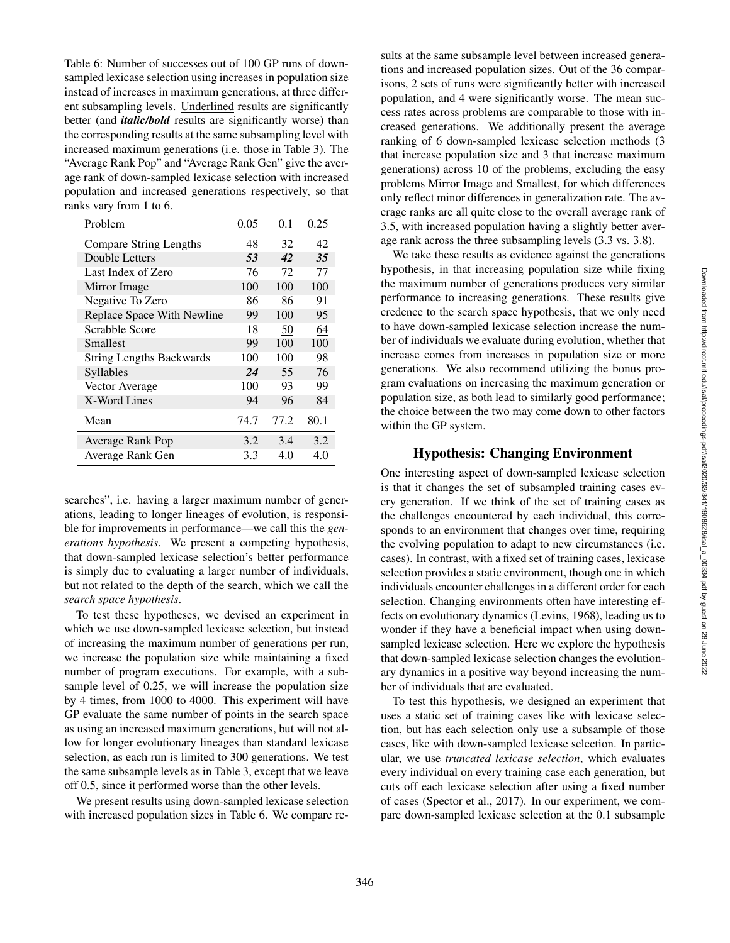Table 6: Number of successes out of 100 GP runs of downsampled lexicase selection using increases in population size instead of increases in maximum generations, at three different subsampling levels. Underlined results are significantly better (and *italic/bold* results are significantly worse) than the corresponding results at the same subsampling level with increased maximum generations (i.e. those in Table 3). The "Average Rank Pop" and "Average Rank Gen" give the average rank of down-sampled lexicase selection with increased population and increased generations respectively, so that ranks vary from 1 to 6.

| Problem                         | 0.05 | 0.1  | 0.25 |
|---------------------------------|------|------|------|
| Compare String Lengths          | 48   | 32   | 42   |
| Double Letters                  | 53   | 42   | 35   |
| Last Index of Zero              | 76   | 72   | 77   |
| Mirror Image                    | 100  | 100  | 100  |
| Negative To Zero                | 86   | 86   | 91   |
| Replace Space With Newline      | 99   | 100  | 95   |
| Scrabble Score                  | 18   | 50   | 64   |
| Smallest                        | 99   | 100  | 100  |
| <b>String Lengths Backwards</b> | 100  | 100  | 98   |
| <b>Syllables</b>                | 24   | 55   | 76   |
| Vector Average                  | 100  | 93   | 99   |
| X-Word Lines                    | 94   | 96   | 84   |
| Mean                            | 74.7 | 77.2 | 80.1 |
| Average Rank Pop                | 3.2  | 3.4  | 3.2  |
| Average Rank Gen                | 3.3  | 4.0  | 4.0  |

searches", i.e. having a larger maximum number of generations, leading to longer lineages of evolution, is responsible for improvements in performance—we call this the *generations hypothesis*. We present a competing hypothesis, that down-sampled lexicase selection's better performance is simply due to evaluating a larger number of individuals, but not related to the depth of the search, which we call the *search space hypothesis* .

To test these hypotheses, we devised an experiment in which we use down-sampled lexicase selection, but instead of increasing the maximum number of generations per run, we increase the population size while maintaining a fixed number of program executions. For example, with a subsample level of 0.25, we will increase the population size by 4 times, from 1000 to 4000. This experiment will have GP evaluate the same number of points in the search space as using an increased maximum generations, but will not allow for longer evolutionary lineages than standard lexicase selection, as each run is limited to 300 generations. We test the same subsample levels as in Table 3, except that we leave off 0.5, since it performed worse than the other levels.

We present results using down-sampled lexicase selection with increased population sizes in Table 6. We compare results at the same subsample level between increased generations and increased population sizes. Out of the 36 comparisons, 2 sets of runs were significantly better with increased population, and 4 were significantly worse. The mean success rates across problems are comparable to those with increased generations. We additionally present the average ranking of 6 down-sampled lexicase selection methods (3 that increase population size and 3 that increase maximum generations) across 10 of the problems, excluding the easy problems Mirror Image and Smallest, for which differences only reflect minor differences in generalization rate. The average ranks are all quite close to the overall average rank of 3.5, with increased population having a slightly better average rank across the three subsampling levels (3.3 vs. 3.8).

We take these results as evidence against the generations hypothesis, in that increasing population size while fixing the maximum number of generations produces very similar performance to increasing generations. These results give credence to the search space hypothesis, that we only need to have down-sampled lexicase selection increase the number of individuals we evaluate during evolution, whether that increase comes from increases in population size or more generations. We also recommend utilizing the bonus program evaluations on increasing the maximum generation or population size, as both lead to similarly good performance; the choice between the two may come down to other factors within the GP system.

### Hypothesis: Changing Environment

One interesting aspect of down-sampled lexicase selection is that it changes the set of subsampled training cases every generation. If we think of the set of training cases as the challenges encountered by each individual, this corresponds to an environment that changes over time, requiring the evolving population to adapt to new circumstances (i.e. cases). In contrast, with a fixed set of training cases, lexicase selection provides a static environment, though one in which individuals encounter challenges in a different order for each selection. Changing environments often have interesting effects on evolutionary dynamics (Levins, 1968), leading us to wonder if they have a beneficial impact when using downsampled lexicase selection. Here we explore the hypothesis that down-sampled lexicase selection changes the evolutionary dynamics in a positive way beyond increasing the number of individuals that are evaluated.

To test this hypothesis, we designed an experiment that uses a static set of training cases like with lexicase selection, but has each selection only use a subsample of those cases, like with down-sampled lexicase selection. In particular, we use *truncated lexicase selection*, which evaluates every individual on every training case each generation, but cuts off each lexicase selection after using a fixed number of cases (Spector et al., 2017). In our experiment, we compare down-sampled lexicase selection at the 0.1 subsample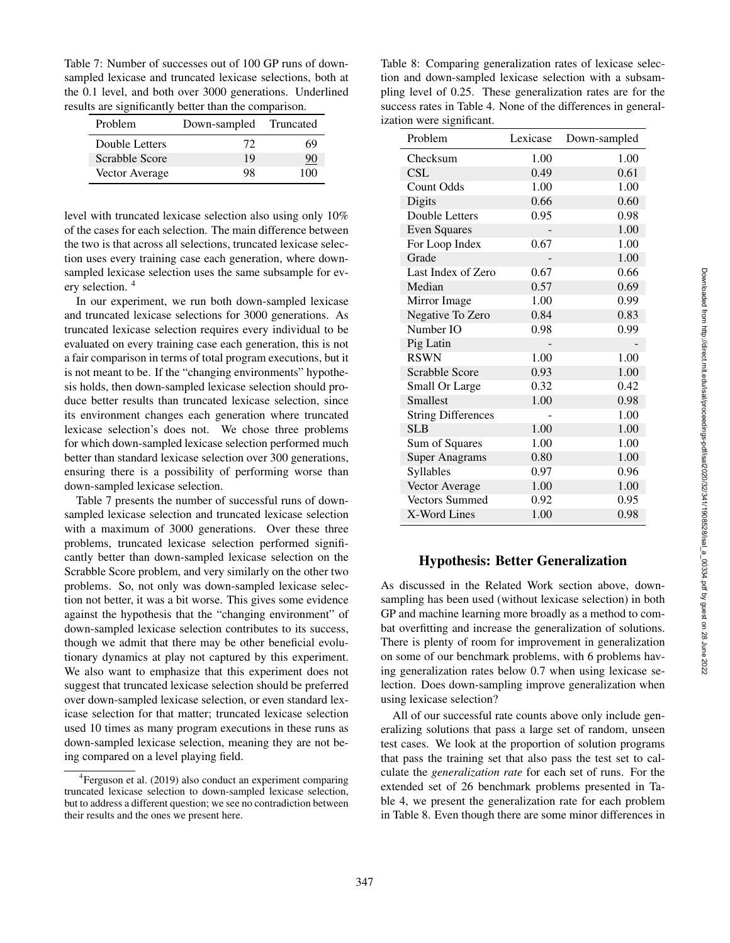Table 7: Number of successes out of 100 GP runs of downsampled lexicase and truncated lexicase selections, both at the 0.1 level, and both over 3000 generations. Underlined results are significantly better than the comparison.

| Problem        | Down-sampled | Truncated |
|----------------|--------------|-----------|
| Double Letters | 72           | 69        |
| Scrabble Score | 19           | 90        |
| Vector Average | 98           | 100       |

level with truncated lexicase selection also using only 10% of the cases for each selection. The main difference between the two is that across all selections, truncated lexicase selection uses every training case each generation, where downsampled lexicase selection uses the same subsample for every selection. <sup>4</sup>

In our experiment, we run both down-sampled lexicase and truncated lexicase selections for 3000 generations. As truncated lexicase selection requires every individual to be evaluated on every training case each generation, this is not a fair comparison in terms of total program executions, but it is not meant to be. If the "changing environments" hypothesis holds, then down-sampled lexicase selection should produce better results than truncated lexicase selection, since its environment changes each generation where truncated lexicase selection's does not. We chose three problems for which down-sampled lexicase selection performed much better than standard lexicase selection over 300 generations, ensuring there is a possibility of performing worse than down-sampled lexicase selection.

Table 7 presents the number of successful runs of downsampled lexicase selection and truncated lexicase selection with a maximum of 3000 generations. Over these three problems, truncated lexicase selection performed significantly better than down-sampled lexicase selection on the Scrabble Score problem, and very similarly on the other two problems. So, not only was down-sampled lexicase selection not better, it was a bit worse. This gives some evidence against the hypothesis that the "changing environment" of down-sampled lexicase selection contributes to its success, though we admit that there may be other beneficial evolutionary dynamics at play not captured by this experiment. We also want to emphasize that this experiment does not suggest that truncated lexicase selection should be preferred over down-sampled lexicase selection, or even standard lexicase selection for that matter; truncated lexicase selection used 10 times as many program executions in these runs as down-sampled lexicase selection, meaning they are not being compared on a level playing field.

Table 8: Comparing generalization rates of lexicase selection and down-sampled lexicase selection with a subsampling level of 0.25. These generalization rates are for the success rates in Table 4. None of the differences in generalization were significant.

| Problem                   | Lexicase | Down-sampled |
|---------------------------|----------|--------------|
| Checksum                  | 1.00     | 1.00         |
| <b>CSL</b>                | 0.49     | 0.61         |
| Count Odds                | 1.00     | 1.00         |
| Digits                    | 0.66     | 0.60         |
| Double Letters            | 0.95     | 0.98         |
| <b>Even Squares</b>       |          | 1.00         |
| For Loop Index            | 0.67     | 1.00         |
| Grade                     |          | 1.00         |
| Last Index of Zero        | 0.67     | 0.66         |
| Median                    | 0.57     | 0.69         |
| Mirror Image              | 1.00     | 0.99         |
| Negative To Zero          | 0.84     | 0.83         |
| Number IO                 | 0.98     | 0.99         |
| Pig Latin                 |          |              |
| <b>RSWN</b>               | 1.00     | 1.00         |
| Scrabble Score            | 0.93     | 1.00         |
| Small Or Large            | 0.32     | 0.42         |
| Smallest                  | 1.00     | 0.98         |
| <b>String Differences</b> |          | 1.00         |
| <b>SLB</b>                | 1.00     | 1.00         |
| Sum of Squares            | 1.00     | 1.00         |
| <b>Super Anagrams</b>     | 0.80     | 1.00         |
| Syllables                 | 0.97     | 0.96         |
| Vector Average            | 1.00     | 1.00         |
| <b>Vectors Summed</b>     | 0.92     | 0.95         |
| X-Word Lines              | 1.00     | 0.98         |

## Hypothesis: Better Generalization

As discussed in the Related Work section above, downsampling has been used (without lexicase selection) in both GP and machine learning more broadly as a method to combat overfitting and increase the generalization of solutions. There is plenty of room for improvement in generalization on some of our benchmark problems, with 6 problems having generalization rates below 0.7 when using lexicase selection. Does down-sampling improve generalization when using lexicase selection?

All of our successful rate counts above only include generalizing solutions that pass a large set of random, unseen test cases. We look at the proportion of solution programs that pass the training set that also pass the test set to calculate the *generalization rate* for each set of runs. For the extended set of 26 benchmark problems presented in Table 4, we present the generalization rate for each problem in Table 8. Even though there are some minor differences in

<sup>&</sup>lt;sup>4</sup> Ferguson et al. (2019) also conduct an experiment comparing truncated lexicase selection to down-sampled lexicase selection, but to address a different question; we see no contradiction between their results and the ones we present here.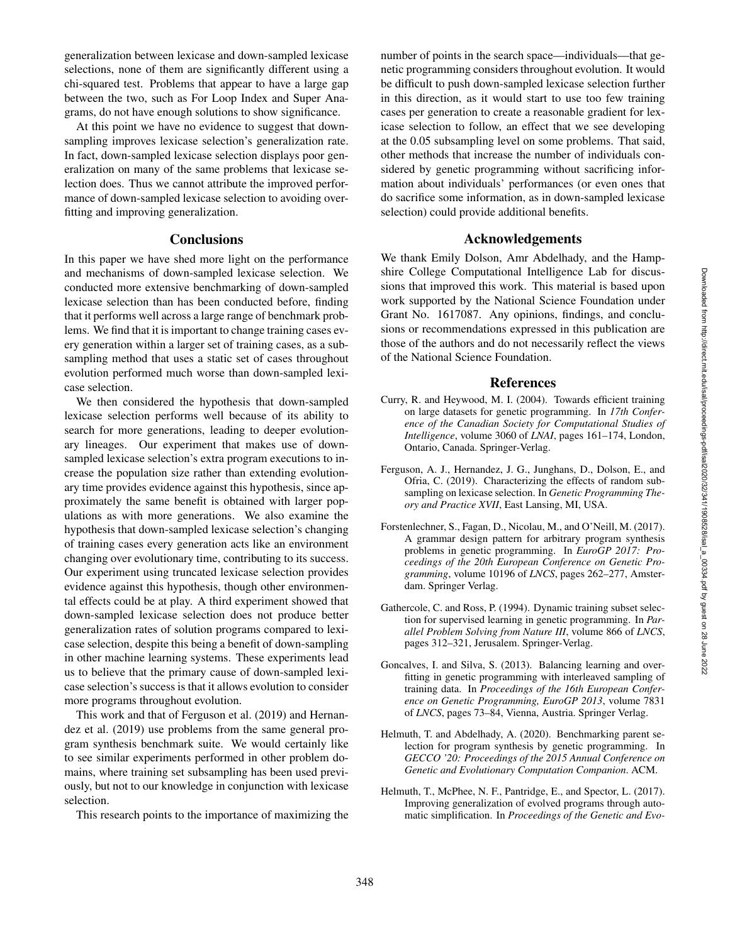generalization between lexicase and down-sampled lexicase selections, none of them are significantly different using a chi-squared test. Problems that appear to have a large gap between the two, such as For Loop Index and Super Anagrams, do not have enough solutions to show significance.

At this point we have no evidence to suggest that downsampling improves lexicase selection's generalization rate. In fact, down-sampled lexicase selection displays poor generalization on many of the same problems that lexicase selection does. Thus we cannot attribute the improved performance of down-sampled lexicase selection to avoiding overfitting and improving generalization.

#### **Conclusions**

In this paper we have shed more light on the performance and mechanisms of down-sampled lexicase selection. We conducted more extensive benchmarking of down-sampled lexicase selection than has been conducted before, finding that it performs well across a large range of benchmark problems. We find that it is important to change training cases every generation within a larger set of training cases, as a subsampling method that uses a static set of cases throughout evolution performed much worse than down-sampled lexicase selection.

We then considered the hypothesis that down-sampled lexicase selection performs well because of its ability to search for more generations, leading to deeper evolutionary lineages. Our experiment that makes use of downsampled lexicase selection's extra program executions to increase the population size rather than extending evolutionary time provides evidence against this hypothesis, since approximately the same benefit is obtained with larger populations as with more generations. We also examine the hypothesis that down-sampled lexicase selection's changing of training cases every generation acts like an environment changing over evolutionary time, contributing to its success. Our experiment using truncated lexicase selection provides evidence against this hypothesis, though other environmental effects could be at play. A third experiment showed that down-sampled lexicase selection does not produce better generalization rates of solution programs compared to lexicase selection, despite this being a benefit of down-sampling in other machine learning systems. These experiments lead us to believe that the primary cause of down-sampled lexicase selection's success is that it allows evolution to consider more programs throughout evolution.

This work and that of Ferguson et al. (2019) and Hernandez et al. (2019) use problems from the same general program synthesis benchmark suite. We would certainly like to see similar experiments performed in other problem domains, where training set subsampling has been used previously, but not to our knowledge in conjunction with lexicase selection.

This research points to the importance of maximizing the

number of points in the search space—individuals—that genetic programming considers throughout evolution. It would be difficult to push down-sampled lexicase selection further in this direction, as it would start to use too few training cases per generation to create a reasonable gradient for lexicase selection to follow, an effect that we see developing at the 0.05 subsampling level on some problems. That said, other methods that increase the number of individuals considered by genetic programming without sacrificing information about individuals' performances (or even ones that do sacrifice some information, as in down-sampled lexicase selection) could provide additional benefits.

#### Acknowledgements

We thank Emily Dolson, Amr Abdelhady, and the Hampshire College Computational Intelligence Lab for discussions that improved this work. This material is based upon work supported by the National Science Foundation under Grant No. 1617087. Any opinions, findings, and conclusions or recommendations expressed in this publication are those of the authors and do not necessarily reflect the views of the National Science Foundation.

#### References

- Curry, R. and Heywood, M. I. (2004). Towards efficient training on large datasets for genetic programming. In *17th Conference of the Canadian Society for Computational Studies of Intelligence*, volume 3060 of *LNAI*, pages 161–174, London, Ontario, Canada. Springer-Verlag.
- Ferguson, A. J., Hernandez, J. G., Junghans, D., Dolson, E., and Ofria, C. (2019). Characterizing the effects of random subsampling on lexicase selection. In *Genetic Programming Theory and Practice XVII*, East Lansing, MI, USA.
- Forstenlechner, S., Fagan, D., Nicolau, M., and O'Neill, M. (2017). A grammar design pattern for arbitrary program synthesis problems in genetic programming. In *EuroGP 2017: Proceedings of the 20th European Conference on Genetic Programming*, volume 10196 of *LNCS*, pages 262–277, Amsterdam. Springer Verlag.
- Gathercole, C. and Ross, P. (1994). Dynamic training subset selection for supervised learning in genetic programming. In *Parallel Problem Solving from Nature III*, volume 866 of *LNCS*, pages 312–321, Jerusalem. Springer-Verlag.
- Goncalves, I. and Silva, S. (2013). Balancing learning and overfitting in genetic programming with interleaved sampling of training data. In *Proceedings of the 16th European Conference on Genetic Programming, EuroGP 2013*, volume 7831 of *LNCS*, pages 73–84, Vienna, Austria. Springer Verlag.
- Helmuth, T. and Abdelhady, A. (2020). Benchmarking parent selection for program synthesis by genetic programming. In *GECCO '20: Proceedings of the 2015 Annual Conference on Genetic and Evolutionary Computation Companion*. ACM.
- Helmuth, T., McPhee, N. F., Pantridge, E., and Spector, L. (2017). Improving generalization of evolved programs through automatic simplification. In *Proceedings of the Genetic and Evo-*